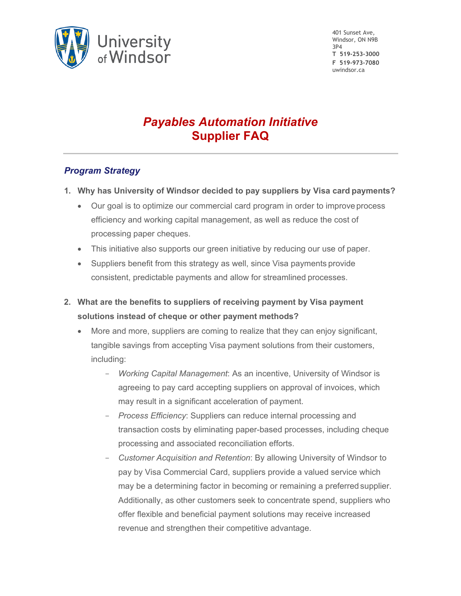

401 Sunset Ave, Windsor, ON N9B 3P4 **T 519-253-3000 F 519-973-7080** uwindsor.ca

# *Payables Automation Initiative* **Supplier FAQ**

## *Program Strategy*

- **1. Why has University of Windsor decided to pay suppliers by Visa card payments?**
	- Our goal is to optimize our commercial card program in order to improve process efficiency and working capital management, as well as reduce the cost of processing paper cheques.
	- This initiative also supports our green initiative by reducing our use of paper.
	- Suppliers benefit from this strategy as well, since Visa payments provide consistent, predictable payments and allow for streamlined processes.
- **2. What are the benefits to suppliers of receiving payment by Visa payment solutions instead of cheque or other payment methods?**
	- More and more, suppliers are coming to realize that they can enjoy significant, tangible savings from accepting Visa payment solutions from their customers, including:
		- *Working Capital Management*: As an incentive, University of Windsor is agreeing to pay card accepting suppliers on approval of invoices, which may result in a significant acceleration of payment.
		- *Process Efficiency*: Suppliers can reduce internal processing and transaction costs by eliminating paper-based processes, including cheque processing and associated reconciliation efforts.
		- *Customer Acquisition and Retention*: By allowing University of Windsor to pay by Visa Commercial Card, suppliers provide a valued service which may be a determining factor in becoming or remaining a preferred supplier. Additionally, as other customers seek to concentrate spend, suppliers who offer flexible and beneficial payment solutions may receive increased revenue and strengthen their competitive advantage.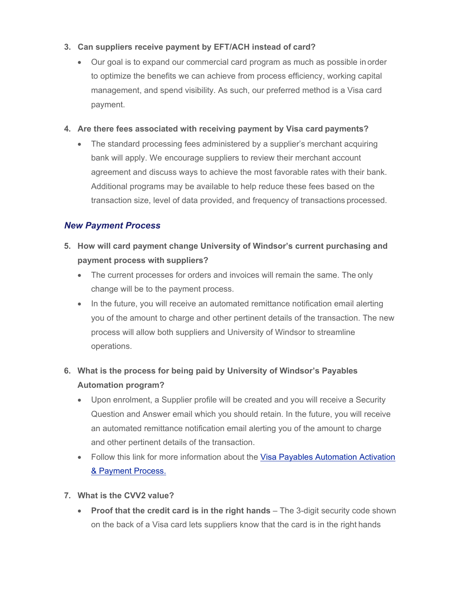## **3. Can suppliers receive payment by EFT/ACH instead of card?**

 Our goal is to expand our commercial card program as much as possible in order to optimize the benefits we can achieve from process efficiency, working capital management, and spend visibility. As such, our preferred method is a Visa card payment.

#### **4. Are there fees associated with receiving payment by Visa card payments?**

• The standard processing fees administered by a supplier's merchant acquiring bank will apply. We encourage suppliers to review their merchant account agreement and discuss ways to achieve the most favorable rates with their bank. Additional programs may be available to help reduce these fees based on the transaction size, level of data provided, and frequency of transactions processed.

## *New Payment Process*

- **5. How will card payment change University of Windsor's current purchasing and payment process with suppliers?**
	- The current processes for orders and invoices will remain the same. The only change will be to the payment process.
	- In the future, you will receive an automated remittance notification email alerting you of the amount to charge and other pertinent details of the transaction. The new process will allow both suppliers and University of Windsor to streamline operations.
- **6. What is the process for being paid by University of Windsor's Payables Automation program?**
	- Upon enrolment, a Supplier profile will be created and you will receive a Security Question and Answer email which you should retain. In the future, you will receive an automated remittance notification email alerting you of the amount to charge and other pertinent details of the transaction.
	- Follow this link for more information about the Visa Payables Automation Activation & Payment Process.
- **7. What is the CVV2 value?**
	- **Proof that the credit card is in the right hands** The 3-digit security code shown on the back of a Visa card lets suppliers know that the card is in the right hands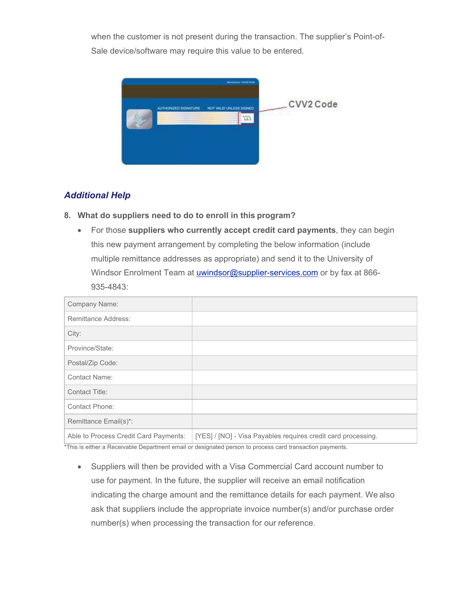when the customer is not present during the transaction. The supplier's Point-of-Sale device/software may require this value to be entered.



## *Additional Help*

- **8. What do suppliers need to do to enroll in this program?**
	- For those **suppliers who currently accept credit card payments**, they can begin this new payment arrangement by completing the below information (include multiple remittance addresses as appropriate) and send it to the University of Windsor Enrolment Team at *uwindsor@supplier-services.com* or by fax at 866-935-4843:

| Company Name:                         |                                                                                                                                                                                                                                                                                                       |
|---------------------------------------|-------------------------------------------------------------------------------------------------------------------------------------------------------------------------------------------------------------------------------------------------------------------------------------------------------|
| <b>Remittance Address:</b>            |                                                                                                                                                                                                                                                                                                       |
| City:                                 |                                                                                                                                                                                                                                                                                                       |
| Province/State:                       |                                                                                                                                                                                                                                                                                                       |
| Postal/Zip Code:                      |                                                                                                                                                                                                                                                                                                       |
| <b>Contact Name:</b>                  |                                                                                                                                                                                                                                                                                                       |
| Contact Title:                        |                                                                                                                                                                                                                                                                                                       |
| <b>Contact Phone:</b>                 |                                                                                                                                                                                                                                                                                                       |
| Remittance Email(s)*:                 |                                                                                                                                                                                                                                                                                                       |
| Able to Process Credit Card Payments: | [YES] / [NO] - Visa Payables requires credit card processing.<br><b>ATLICED IN THE COMMUNIST INTO A REPORT OF A STATE OF A STATE OF A STATE OF A STATE OF A STATE OF A STATE OF A STATE OF A STATE OF A STATE OF A STATE OF A STATE OF A STATE OF A STATE OF A STATE OF A STATE OF A STATE OF A S</b> |

This is either a Receivable Department email or designated person to process card transaction payments.

 Suppliers will then be provided with a Visa Commercial Card account number to use for payment. In the future, the supplier will receive an email notification indicating the charge amount and the remittance details for each payment. We also ask that suppliers include the appropriate invoice number(s) and/or purchase order number(s) when processing the transaction for our reference.